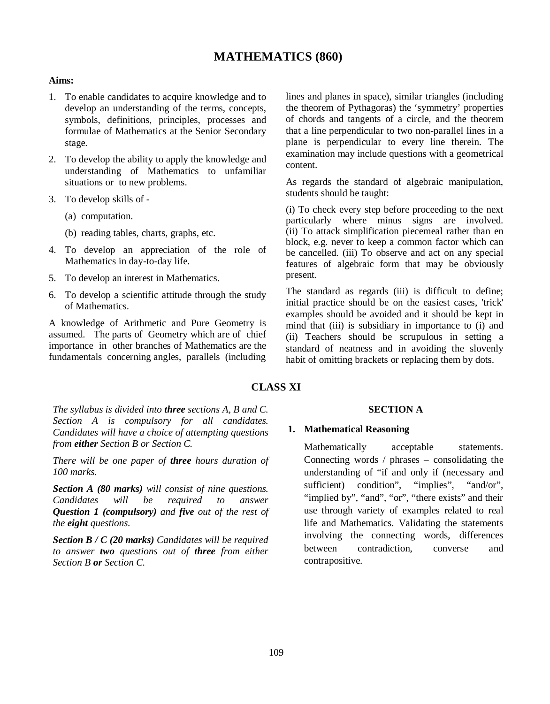# **MATHEMATICS (860)**

### **Aims:**

- 1. To enable candidates to acquire knowledge and to develop an understanding of the terms, concepts, symbols, definitions, principles, processes and formulae of Mathematics at the Senior Secondary stage.
- 2. To develop the ability to apply the knowledge and understanding of Mathematics to unfamiliar situations or to new problems.
- 3. To develop skills of
	- (a) computation.
	- (b) reading tables, charts, graphs, etc.
- 4. To develop an appreciation of the role of Mathematics in day-to-day life.
- 5. To develop an interest in Mathematics.
- 6. To develop a scientific attitude through the study of Mathematics.

A knowledge of Arithmetic and Pure Geometry is assumed. The parts of Geometry which are of chief importance in other branches of Mathematics are the fundamentals concerning angles, parallels (including

lines and planes in space), similar triangles (including the theorem of Pythagoras) the 'symmetry' properties of chords and tangents of a circle, and the theorem that a line perpendicular to two non-parallel lines in a plane is perpendicular to every line therein. The examination may include questions with a geometrical content.

As regards the standard of algebraic manipulation, students should be taught:

(i) To check every step before proceeding to the next particularly where minus signs are involved. (ii) To attack simplification piecemeal rather than en block, e.g. never to keep a common factor which can be cancelled. (iii) To observe and act on any special features of algebraic form that may be obviously present.

The standard as regards (iii) is difficult to define; initial practice should be on the easiest cases, 'trick' examples should be avoided and it should be kept in mind that (iii) is subsidiary in importance to (i) and (ii) Teachers should be scrupulous in setting a standard of neatness and in avoiding the slovenly habit of omitting brackets or replacing them by dots.

## **CLASS XI**

*The syllabus is divided into three sections A, B and C. Section A is compulsory for all candidates. Candidates will have a choice of attempting questions from either Section B or Section C.*

*There will be one paper of three hours duration of 100 marks.* 

*Section A (80 marks) will consist of nine questions. Candidates will be required to answer Question 1 (compulsory) and five out of the rest of the eight questions.*

*Section B / C (20 marks) Candidates will be required to answer two questions out of three from either Section B or Section C.*

### **SECTION A**

### **1. Mathematical Reasoning**

Mathematically acceptable statements. Connecting words / phrases – consolidating the understanding of "if and only if (necessary and sufficient) condition", "implies", "and/or", "implied by", "and", "or", "there exists" and their use through variety of examples related to real life and Mathematics. Validating the statements involving the connecting words, differences between contradiction, converse and contrapositive.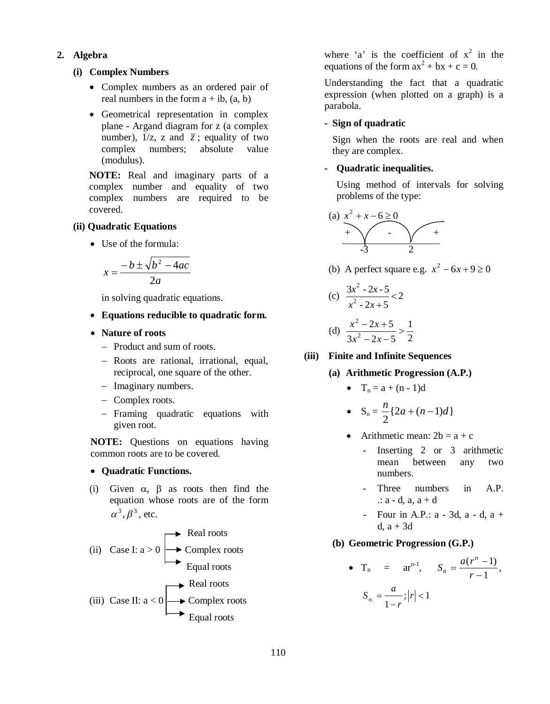**2. Algebra**

### **(i) Complex Numbers**

- Complex numbers as an ordered pair of real numbers in the form  $a + ib$ ,  $(a, b)$
- Geometrical representation in complex plane - Argand diagram for z (a complex number),  $1/z$ , z and  $\overline{z}$ ; equality of two complex numbers; absolute value (modulus).

**NOTE:** Real and imaginary parts of a complex number and equality of two complex numbers are required to be covered.

### **(ii) Quadratic Equations**

• Use of the formula:

$$
x = \frac{-b \pm \sqrt{b^2 - 4ac}}{2a}
$$

in solving quadratic equations.

- **Equations reducible to quadratic form.**
- **Nature of roots**
	- Product and sum of roots.
	- Roots are rational, irrational, equal, reciprocal, one square of the other.
	- Imaginary numbers.
	- Complex roots.
	- Framing quadratic equations with given root.

**NOTE:** Questions on equations having common roots are to be covered.

### **Quadratic Functions.**

(i) Given  $\alpha$ ,  $\beta$  as roots then find the equation whose roots are of the form  $\alpha^3$ ,  $\beta^3$ , etc.

(ii) Case I: 
$$
a > 0
$$
  
\n**Real roots**  
\nEquality roots  
\n(iii) Case II:  $a < 0$   
\n**Real roots**  
\nReal roots  
\nReal roots  
\nReal roots  
\nEquality roots  
\nEqual roots

where 'a' is the coefficient of  $x^2$  in the equations of the form  $ax^2 + bx + c = 0$ .

Understanding the fact that a quadratic expression (when plotted on a graph) is a parabola.

## **- Sign of quadratic**

Sign when the roots are real and when they are complex.

## **- Quadratic inequalities.**

Using method of intervals for solving problems of the type:

$$
(a) \quad x^2 + x - 6 \ge 0
$$

(b) A perfect square e.g.  $x^2 - 6x + 9 \ge 0$ 

(c) 
$$
\frac{3x^2 - 2x - 5}{x^2 - 2x + 5} < 2
$$

(d) 
$$
\frac{x^2 - 2x + 5}{3x^2 - 2x - 5} > \frac{1}{2}
$$

**(iii) Finite and Infinite Sequences**

- **(a) Arithmetic Progression (A.P.)**
	- $T_n = a + (n 1)d$

• 
$$
S_n = \frac{n}{2} \{2a + (n-1)d\}
$$

- Arithmetic mean:  $2b = a + c$ 
	- Inserting 2 or 3 arithmetic mean between any two numbers.
	- Three numbers in A.P.  $\therefore$  a - d, a, a + d
	- Four in A.P.: a 3d, a d, a + d,  $a + 3d$

#### **(b) Geometric Progression (G.P.)**

• 
$$
T_n = ar^{n-1}
$$
,  $S_n = \frac{a(r^n - 1)}{r - 1}$ ,  
 $S_{\infty} = \frac{a}{1 - r}; |r| < 1$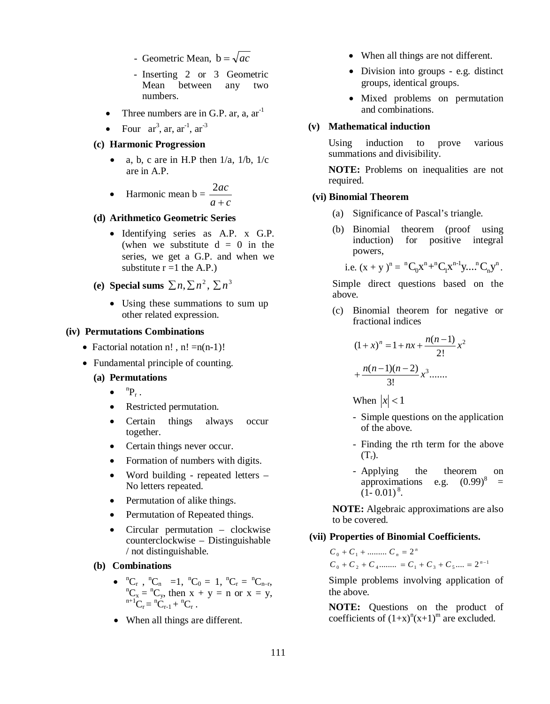- Geometric Mean,  $b = \sqrt{ac}$
- Inserting 2 or 3 Geometric Mean between any two numbers.
- Three numbers are in G.P. ar, a,  $ar^{-1}$
- Four  $ar^3$ , ar,  $ar^{-1}$ ,  $ar^{-3}$

### **(c) Harmonic Progression**

a, b, c are in H.P then  $1/a$ ,  $1/b$ ,  $1/c$ are in A.P.

> *ac* 2

 $\bullet$  Harmonic mean  $b =$  $a + c$  $\ddot{}$ 

#### **(d) Arithmetico Geometric Series**

- Identifying series as A.P. x G.P. (when we substitute  $d = 0$  in the series, we get a G.P. and when we substitute  $r = 1$  the A.P.)
- (e) **Special sums**  $\sum n, \sum n^2, \sum n^3$ 
	- Using these summations to sum up other related expression.

#### **(iv) Permutations Combinations**

- Factorial notation n!, n! =  $n(n-1)$ !
- Fundamental principle of counting.

#### **(a) Permutations**

- $\bullet$  ${}^{n}P_r$ .
- Restricted permutation.
- Certain things always occur together.
- Certain things never occur.
- Formation of numbers with digits.
- Word building repeated letters No letters repeated.
- Permutation of alike things.
- Permutation of Repeated things.
- Circular permutation clockwise counterclockwise – Distinguishable / not distinguishable.

#### **(b) Combinations**

- ${}^{n}C_{r}$ ,  ${}^{n}C_{n}$  =1,  ${}^{n}C_{0}$  = 1,  ${}^{n}C_{r}$  =  ${}^{n}C_{n-r}$ ,  ${}^{n}C_x = {}^{n}C_y$ , then  $x + y = n$  or  $x = y$ ,  ${}^{n+1}C_r = {}^{n}C_{r-1} + {}^{n}C_r$ .
- When all things are different.
- When all things are not different.
- Division into groups e.g. distinct groups, identical groups.
- Mixed problems on permutation and combinations.

#### **(v) Mathematical induction**

Using induction to prove various summations and divisibility.

**NOTE:** Problems on inequalities are not required.

#### **(vi) Binomial Theorem**

- (a) Significance of Pascal's triangle.
- (b) Binomial theorem (proof using induction) for positive integral powers,

i.e.  $(x + y)^n = {}^nC_0x^n + {}^nC_1x^{n-1}y...{}^nC_ny^n$ n  $n-1$ <sub>x</sub>, n 1 n n  ${}^{n}C_{0}x^{n}+{}^{n}C_{1}x^{n-1}y...$   ${}^{n}C_{n}y^{n}$ .

Simple direct questions based on the above.

(c) Binomial theorem for negative or fractional indices

$$
(1+x)^n = 1 + nx + \frac{n(n-1)}{2!}x^2
$$

$$
+ \frac{n(n-1)(n-2)}{3!}x^3 \dots
$$

When  $|x| < 1$ 

- Simple questions on the application of the above.
- Finding the rth term for the above  $(T_r)$ .
- Applying the theorem on approximations e.g.  $(0.99)^8$ =  $(1 - 0.01)^8$ .

**NOTE:** Algebraic approximations are also to be covered.

#### **(vii) Properties of Binomial Coefficients.**

 $C_0 + C_2 + C_4$ ........ =  $C_1 + C_3 + C_5$ ... =  $2^{n-1}$  $C_0 + C_1 + \dots + C_n = 2^n$ 

Simple problems involving application of the above.

**NOTE:** Questions on the product of coefficients of  $(1+x)^n(x+1)^m$  are excluded.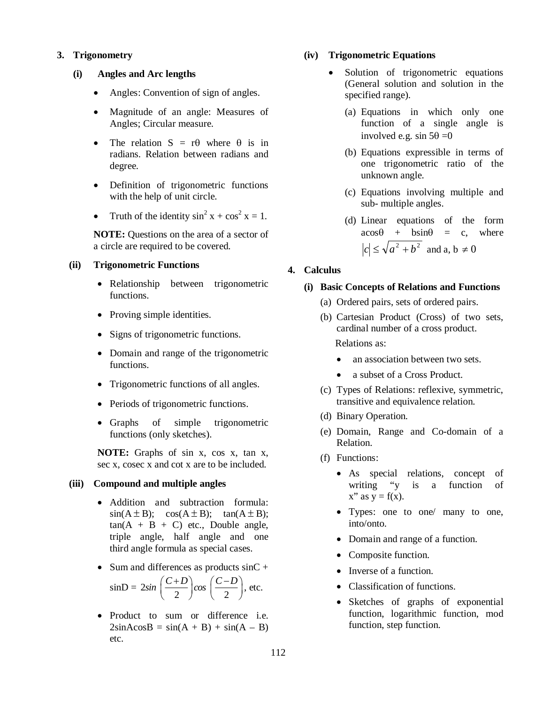### **3. Trigonometry**

#### **(i) Angles and Arc lengths**

- Angles: Convention of sign of angles.
- Magnitude of an angle: Measures of Angles; Circular measure.
- The relation  $S = r\theta$  where  $\theta$  is in radians. Relation between radians and degree.
- Definition of trigonometric functions with the help of unit circle.
- Truth of the identity  $\sin^2 x + \cos^2 x = 1$ .

**NOTE:** Questions on the area of a sector of a circle are required to be covered.

### **(ii) Trigonometric Functions**

- Relationship between trigonometric functions.
- Proving simple identities.
- Signs of trigonometric functions.
- Domain and range of the trigonometric functions.
- Trigonometric functions of all angles.
- Periods of trigonometric functions.
- Graphs of simple trigonometric functions (only sketches).

**NOTE:** Graphs of sin x, cos x, tan x, sec x, cosec x and cot x are to be included.

#### **(iii) Compound and multiple angles**

- Addition and subtraction formula:  $sin(A \pm B); \cos(A \pm B); \tan(A \pm B);$  $tan(A + B + C)$  etc., Double angle, triple angle, half angle and one third angle formula as special cases.
- Sum and differences as products  $sinC +$  $sinD = 2sin$  $sin\left(\frac{C+D}{2}\right)cos\left(\frac{C-D}{2}\right)$ , etc.
- Product to sum or difference i.e.  $2\sin A \cos B = \sin(A + B) + \sin(A - B)$ etc.

### **(iv) Trigonometric Equations**

- Solution of trigonometric equations (General solution and solution in the specified range).
	- (a) Equations in which only one function of a single angle is involved e.g. sin  $5\theta = 0$
	- (b) Equations expressible in terms of one trigonometric ratio of the unknown angle.
	- (c) Equations involving multiple and sub- multiple angles.
	- (d) Linear equations of the form  $acos\theta$  + bsin $\theta$  = c, where  $c \le \sqrt{a^2 + b^2}$  and a,  $b \ne 0$

### **4. Calculus**

### **(i) Basic Concepts of Relations and Functions**

- (a) Ordered pairs, sets of ordered pairs.
- (b) Cartesian Product (Cross) of two sets, cardinal number of a cross product. Relations as:
	- an association between two sets.
	- a subset of a Cross Product.
- (c) Types of Relations: reflexive, symmetric, transitive and equivalence relation.
- (d) Binary Operation.
- (e) Domain, Range and Co-domain of a Relation.
- (f) Functions:
	- As special relations, concept of writing "y is a function of  $x''$  as  $y = f(x)$ .
	- Types: one to one/ many to one, into/onto.
	- Domain and range of a function.
	- Composite function.
	- Inverse of a function.
	- Classification of functions.
	- Sketches of graphs of exponential function, logarithmic function, mod function, step function.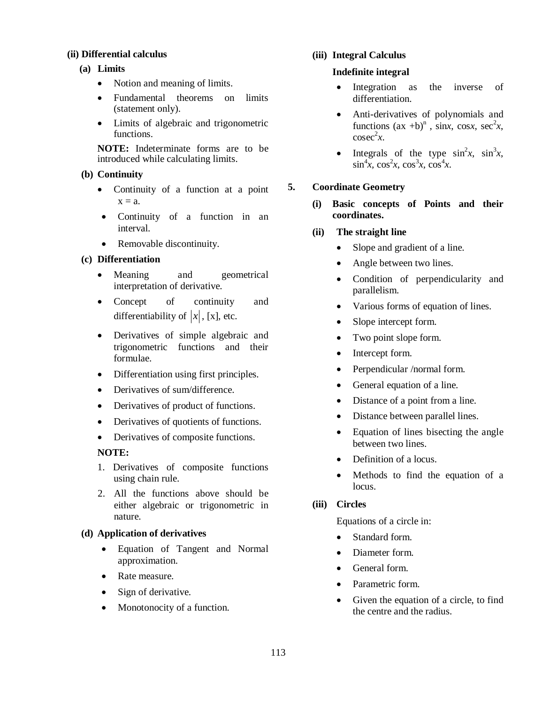## **(ii) Differential calculus**

# **(a) Limits**

- Notion and meaning of limits.
- Fundamental theorems on limits (statement only).
- Limits of algebraic and trigonometric functions.

**NOTE:** Indeterminate forms are to be introduced while calculating limits.

## **(b) Continuity**

- Continuity of a function at a point  $x = a$ .
- Continuity of a function in an interval.
- Removable discontinuity.

# **(c) Differentiation**

- Meaning and geometrical interpretation of derivative.
- Concept of continuity and differentiability of  $|x|$ , [x], etc.
- Derivatives of simple algebraic and trigonometric functions and their formulae.
- Differentiation using first principles.
- Derivatives of sum/difference.
- Derivatives of product of functions.
- Derivatives of quotients of functions.
- Derivatives of composite functions.

# **NOTE:**

- 1. Derivatives of composite functions using chain rule.
- 2. All the functions above should be either algebraic or trigonometric in nature.

# **(d) Application of derivatives**

- Equation of Tangent and Normal approximation.
- Rate measure.
- Sign of derivative.
- Monotonocity of a function.

## **(iii) Integral Calculus**

## **Indefinite integral**

- Integration as the inverse of differentiation.
- Anti-derivatives of polynomials and functions  $(ax +b)^n$ , sinx, cosx, sec<sup>2</sup>x,  $\csc^2 x$ .
- Integrals of the type  $\sin^2 x$ ,  $\sin^3 x$ ,  $\sin^4 x$ ,  $\cos^2 x$ ,  $\cos^3 x$ ,  $\cos^4 x$ .

# **5. Coordinate Geometry**

- **(i) Basic concepts of Points and their coordinates.**
- **(ii) The straight line** 
	- Slope and gradient of a line.
	- Angle between two lines.
	- Condition of perpendicularity and parallelism.
	- Various forms of equation of lines.
	- Slope intercept form.
	- Two point slope form.
	- Intercept form.
	- Perpendicular /normal form.
	- General equation of a line.
	- Distance of a point from a line.
	- Distance between parallel lines.
	- Equation of lines bisecting the angle between two lines.
	- Definition of a locus.
	- Methods to find the equation of a locus.

# **(iii) Circles**

Equations of a circle in:

- Standard form.
- Diameter form
- General form.
- Parametric form.
- Given the equation of a circle, to find the centre and the radius.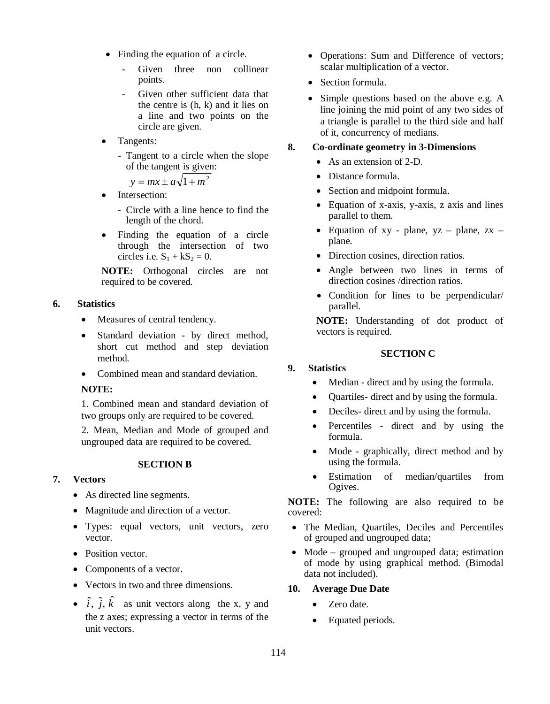- Finding the equation of a circle.
	- Given three non collinear points.
	- Given other sufficient data that the centre is (h, k) and it lies on a line and two points on the circle are given.
- Tangents:
	- Tangent to a circle when the slope of the tangent is given:

 $y = mx \pm a\sqrt{1 + m^2}$ 

- Intersection:
	- Circle with a line hence to find the length of the chord.
- Finding the equation of a circle through the intersection of two circles i.e.  $S_1 + kS_2 = 0$ .

**NOTE:** Orthogonal circles are not required to be covered.

## **6. Statistics**

- Measures of central tendency.
- Standard deviation by direct method, short cut method and step deviation method.
- Combined mean and standard deviation.

# **NOTE:**

1. Combined mean and standard deviation of two groups only are required to be covered.

2. Mean, Median and Mode of grouped and ungrouped data are required to be covered.

## **SECTION B**

# **7. Vectors**

- As directed line segments.
- Magnitude and direction of a vector.
- Types: equal vectors, unit vectors, zero vector.
- Position vector.
- Components of a vector.
- Vectors in two and three dimensions.
- $\hat{i}$ ,  $\hat{j}$ ,  $\hat{k}$  as unit vectors along the x, y and the z axes; expressing a vector in terms of the unit vectors.
- Operations: Sum and Difference of vectors; scalar multiplication of a vector.
- Section formula.
- Simple questions based on the above e.g. A line joining the mid point of any two sides of a triangle is parallel to the third side and half of it, concurrency of medians.

## **8. Co-ordinate geometry in 3-Dimensions**

- As an extension of 2-D.
- Distance formula.
- Section and midpoint formula.
- Equation of x-axis, y-axis, z axis and lines parallel to them.
- Equation of  $xy$  plane,  $yz$  plane,  $zx$  plane.
- Direction cosines, direction ratios.
- Angle between two lines in terms of direction cosines /direction ratios.
- Condition for lines to be perpendicular/ parallel.

**NOTE:** Understanding of dot product of vectors is required.

# **SECTION C**

# **9. Statistics**

- Median direct and by using the formula.
- Quartiles- direct and by using the formula.
- Deciles- direct and by using the formula.
- Percentiles direct and by using the formula.
- Mode graphically, direct method and by using the formula.
- Estimation of median/quartiles from Ogives.

**NOTE:** The following are also required to be covered:

- The Median, Quartiles, Deciles and Percentiles of grouped and ungrouped data;
- Mode grouped and ungrouped data; estimation of mode by using graphical method. (Bimodal data not included).

## **10. Average Due Date**

- Zero date.
- Equated periods.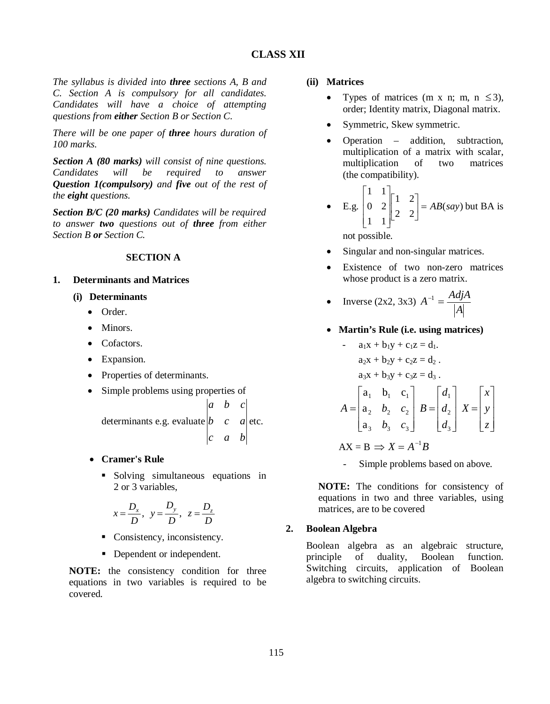*The syllabus is divided into three sections A, B and C. Section A is compulsory for all candidates. Candidates will have a choice of attempting questions from either Section B or Section C.*

*There will be one paper of three hours duration of 100 marks.*

*Section A (80 marks) will consist of nine questions. Candidates will be required to answer Question 1(compulsory) and five out of the rest of the eight questions.*

*Section B/C (20 marks) Candidates will be required to answer two questions out of three from either Section B or Section C.*

## **SECTION A**

### **1. Determinants and Matrices**

- **(i) Determinants**
	- Order.
	- Minors.
	- Cofactors.
	- Expansion.
	- Properties of determinants.
	- Simple problems using properties of

determinants e.g. evaluate  $\begin{vmatrix} b & c & a \end{vmatrix}$  etc.  $|c \t a \t b|$  $|a \, b \, c|$ 

- **Cramer's Rule**
	- Solving simultaneous equations in 2 or 3 variables,

$$
x = \frac{D_x}{D}, \quad y = \frac{D_y}{D}, \quad z = \frac{D_z}{D}
$$

- Consistency, inconsistency.
- Dependent or independent.

**NOTE:** the consistency condition for three equations in two variables is required to be covered.

#### **(ii) Matrices**

- Types of matrices (m x n; m, n  $\leq$ 3), order; Identity matrix, Diagonal matrix.
- Symmetric, Skew symmetric.
- Operation addition, subtraction, multiplication of a matrix with scalar,<br>multiplication of two matrices multiplication of two matrices (the compatibility).

• E.g. 
$$
\begin{bmatrix} 1 & 1 \ 0 & 2 \ 1 & 1 \end{bmatrix} \begin{bmatrix} 1 & 2 \ 2 & 2 \end{bmatrix} = AB(say)
$$
 but BA is

not possible.

- Singular and non-singular matrices.
- Existence of two non-zero matrices whose product is a zero matrix.

• Inverse (2x2, 3x3) 
$$
A^{-1} = \frac{Adj A}{|A|}
$$

**Martin's Rule (i.e. using matrices)**

- 
$$
a_1x + b_1y + c_1z = d_1
$$
.  
\n $a_2x + b_2y + c_2z = d_2$ .  
\n $a_3x + b_3y + c_3z = d_3$ .  
\n
$$
A = \begin{bmatrix} a_1 & b_1 & c_1 \\ a_2 & b_2 & c_2 \\ a_3 & b_3 & c_3 \end{bmatrix} B = \begin{bmatrix} d_1 \\ d_2 \\ d_3 \end{bmatrix} X = \begin{bmatrix} x \\ y \\ z \end{bmatrix}
$$

$$
AX = B \implies X = A^{-1}B
$$

Simple problems based on above.

**NOTE:** The conditions for consistency of equations in two and three variables, using matrices, are to be covered

## **2. Boolean Algebra**

Boolean algebra as an algebraic structure, principle of duality, Boolean function. Switching circuits, application of Boolean algebra to switching circuits.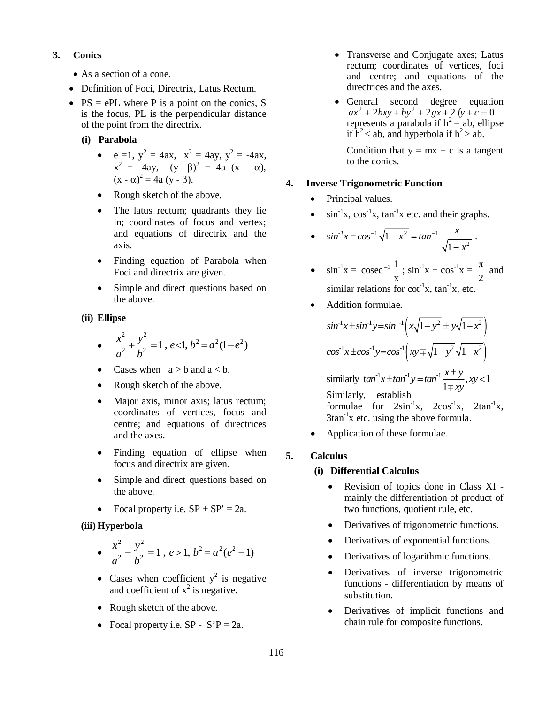## **3. Conics**

- As a section of a cone.
- Definition of Foci, Directrix, Latus Rectum.
- $PS = ePL$  where P is a point on the conics, S is the focus, PL is the perpendicular distance of the point from the directrix.
	- **(i) Parabola**
		- $e = 1$ ,  $y^2 = 4ax$ ,  $x^2 = 4ay$ ,  $y^2 = -4ax$ ,  $x^2 = -4ay$ ,  $(y -\beta)^2 = 4a (x - \alpha)$ ,  $(x - \alpha)^2 = 4a (y - \beta).$
		- Rough sketch of the above.
		- The latus rectum; quadrants they lie in; coordinates of focus and vertex; and equations of directrix and the axis.
		- Finding equation of Parabola when Foci and directrix are given.
		- Simple and direct questions based on the above.

## **(ii) Ellipse**

- $\frac{1}{2} + \frac{y}{1} = 1$ ,  $e < 1$ ,  $b^2 = a^2(1-e^2)$ 2 2 2 2  $e < 1, b^2 = a^2(1-e)$ *b y a*  $\frac{x^2}{2} + \frac{y^2}{2} = 1$ , e<1, b<sup>2</sup> = a<sup>2</sup>(1-e<sup>2</sup>)
- Cases when  $a > b$  and  $a < b$ .
- Rough sketch of the above.
- Major axis, minor axis; latus rectum; coordinates of vertices, focus and centre; and equations of directrices and the axes.
- Finding equation of ellipse when focus and directrix are given.
- Simple and direct questions based on the above.
- Focal property i.e.  $SP + SP' = 2a$ .

## **(iii) Hyperbola**

- $\bullet$  $rac{x^2}{a^2} - \frac{y^2}{b^2} = 1$ ,  $e > 1$ ,  $b^2 = a^2(e^2 - 1)$  $-\frac{y}{12}=1$ ,  $e>1$ ,  $b^2=a^2(e^2-1)$
- Cases when coefficient  $y^2$  is negative and coefficient of  $x^2$  is negative.
- Rough sketch of the above.
- Focal property i.e.  $SP S'P = 2a$ .
- Transverse and Conjugate axes; Latus rectum; coordinates of vertices, foci and centre; and equations of the directrices and the axes.
- General second degree equation  $ax^{2} + 2hxy + by^{2} + 2gx + 2fy + c = 0$ represents a parabola if  $h^2$  = ab, ellipse if  $h^2$  < ab, and hyperbola if  $h^2$  > ab.

Condition that  $y = mx + c$  is a tangent to the conics.

## **4. Inverse Trigonometric Function**

- Principal values.
- $\cdot$  sin<sup>-1</sup>x, cos<sup>-1</sup>x, tan<sup>-1</sup>x etc. and their graphs.

• 
$$
\sin^{-1} x = \cos^{-1} \sqrt{1 - x^2} = \tan^{-1} \frac{x}{\sqrt{1 - x^2}}
$$
.

- $\sin^{-1}x =$ x  $\csc^{-1} \frac{1}{n}$ ;  $\sin^{-1} x + \cos^{-1} x =$ 2  $\frac{\pi}{2}$  and similar relations for  $\cot^{-1}x$ ,  $\tan^{-1}x$ , etc.
- Addition formulae.

$$
\sin^{-1}x \pm \sin^{-1}y = \sin^{-1}\left(x\sqrt{1-y^2} \pm y\sqrt{1-x^2}\right)
$$
  
\n
$$
\cos^{-1}x \pm \cos^{-1}y = \cos^{-1}\left(xy \mp \sqrt{1-y^2}\sqrt{1-x^2}\right)
$$
  
\nsimilary  $\tan^{-1}x \pm \tan^{-1}y = \tan^{-1}\frac{x \pm y}{1 \mp xy}, xy < 1$   
\nSimilarly, establish  
\nformulae for  $2\sin^{-1}x$ ,  $2\cos^{-1}x$ ,  $2\tan^{-1}x$ ,  
\n $3\tan^{-1}x$  etc. using the above formula.

Application of these formulae.

# **5. Calculus**

## **(i) Differential Calculus**

- Revision of topics done in Class XI mainly the differentiation of product of two functions, quotient rule, etc.
- Derivatives of trigonometric functions.
- Derivatives of exponential functions.
- Derivatives of logarithmic functions.
- Derivatives of inverse trigonometric functions - differentiation by means of substitution.
- Derivatives of implicit functions and chain rule for composite functions.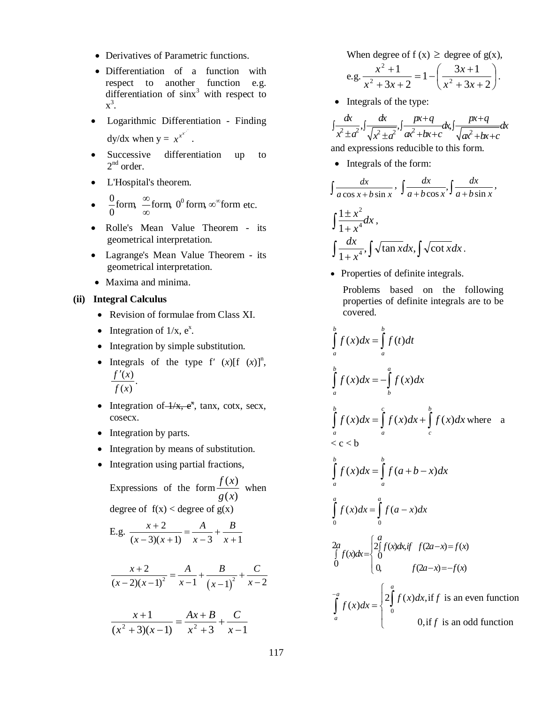- Derivatives of Parametric functions.
- Differentiation of a function with respect to another function e.g. differentiation of  $\sin x^3$  with respect to  $x^3$ .
- Logarithmic Differentiation Finding dy/dx when  $y = x^{x^x}$ .
- Successive differentiation up to  $2<sup>nd</sup>$  order.
- L'Hospital's theorem.
- $\frac{6}{6}$  form,  $\frac{6}{6}$  form,  $\frac{6}{6}$  form,  $\infty$  form 0  $\frac{0}{\infty}$ form,  $\frac{\infty}{\infty}$ form,  $0^0$ form,  $\infty^{\infty}$  $\infty$  $\stackrel{\infty}{-}$ form, 0<sup>0</sup> form, ∞ $^{\infty}$ form etc.
- Rolle's Mean Value Theorem its geometrical interpretation.
- Lagrange's Mean Value Theorem its geometrical interpretation.
- Maxima and minima.

## **(ii) Integral Calculus**

- Revision of formulae from Class XI.
- Integration of  $1/x$ ,  $e^x$ .
- Integration by simple substitution.
- Integrals of the type  $f'(x)[f(x)]^n$ ,  $\frac{(x)}{x}$ .  $(x)$  $f'(x)$  $f(x)$  $\overline{\phantom{a}}$
- Integration of  $\frac{1}{x}$ ,  $e^x$ , tanx, cotx, secx, cosecx.
- Integration by parts.
- Integration by means of substitution.
- Integration using partial fractions,

Expressions of the form  $\left( x\right)$  $\left( x\right)$ *g x*  $\frac{f(x)}{f(x)}$  when degree of  $f(x) <$  degree of  $g(x)$ 

E.g. 
$$
\frac{x+2}{(x-2)(x-1)} = \frac{A}{(x-2)} + \frac{B}{(x-2)}
$$

E.g. 
$$
\frac{x+2}{(x-3)(x+1)} = \frac{1}{x-3} + \frac{b}{x+1}
$$

$$
\frac{x+2}{(x-2)(x-1)^2} = \frac{A}{x-1} + \frac{B}{(x-1)^2} + \frac{C}{x-2}
$$

$$
\frac{x+1}{(x^2+3)(x-1)} = \frac{Ax+B}{x^2+3} + \frac{C}{x-1}
$$

When degree of  $f(x) \geq$  degree of  $g(x)$ ,

- e.g.  $\frac{n+1}{2} = 1 \frac{6n+1}{2}$  $\bigg)$  $\left(\frac{3x+1}{2} \right)$  $\setminus$ ſ  $+3x+$  $=1-\frac{3x+2}{2}$  $+3x+$  $+$  $3x + 2$  $1-\left(\frac{3x+1}{2}\right)$  $3x + 2$ 1  $2 + 2x + 2$   $x^2$ 2  $x^2 + 3x$ *x*  $x^2 + 3x$  $\frac{x^2+1}{2} = 1 - \left(\frac{3x+1}{2} \right).$
- Integrals of the type:

 $\frac{dx}{(x^2+a^2)}$ ,  $\int \frac{dx}{(x^2+a^2)}$ ,  $\int \frac{px+q}{(x^2+b^2+c^2)}dx$ ,  $\int \frac{px+q}{(x^2+b^2+c^2)}dx$  $x^2 \pm a^2$ ,  $\sqrt{x^2 \pm a^2}$ ,  $ax^2 + bx + c$ ,  $\sqrt{ax^2 + bx + c}$  $\int \frac{dx}{\sqrt{2+2}} = \int \frac{dx}{\sqrt{2+2}} = \int \frac{px+q}{\sqrt{2+2}} = dx$  $\pm a^2$   $\sqrt{x^2 \pm a^2}$   $\alpha^2 + bx + c$   $\sqrt{x^2 + bx} + c$ and expressions reducible to this form.

• Integrals of the form:

$$
\int \frac{dx}{a \cos x + b \sin x}, \int \frac{dx}{a + b \cos x}, \int \frac{dx}{a + b \sin x},
$$

$$
\int \frac{1 \pm x^2}{1 + x^4} dx,
$$

$$
\int \frac{dx}{1 + x^4}, \int \sqrt{\tan x} dx, \int \sqrt{\cot x} dx.
$$

• Properties of definite integrals.

Problems based on the following properties of definite integrals are to be covered.

$$
\int_{a}^{b} f(x)dx = \int_{a}^{b} f(t)dt
$$
\n
$$
\int_{a}^{b} f(x)dx = -\int_{b}^{a} f(x)dx
$$
\n
$$
\int_{a}^{b} f(x)dx = \int_{a}^{c} f(x)dx + \int_{c}^{b} f(x)dx
$$
 where a  
\n
$$
\int_{a}^{b} f(x)dx = \int_{a}^{b} f(a+b-x)dx
$$
\n
$$
\int_{0}^{a} f(x)dx = \int_{0}^{a} f(a-x)dx
$$
\n
$$
\int_{0}^{a} f(x)dx = \int_{0}^{a} f(a-x)dx
$$
\n
$$
\int_{0}^{a} f(x)dx = \begin{cases} 2\int_{0}^{a} f(x)dx, & \text{if } f(2a-x) = f(x) \\ 0, & \text{if } f(x) = a \end{cases}
$$
\n
$$
\int_{a}^{-a} f(x)dx = \begin{cases} 2\int_{0}^{a} f(x)dx, & \text{if } f \text{ is an even function} \\ 0, & \text{if } f \text{ is an odd function} \end{cases}
$$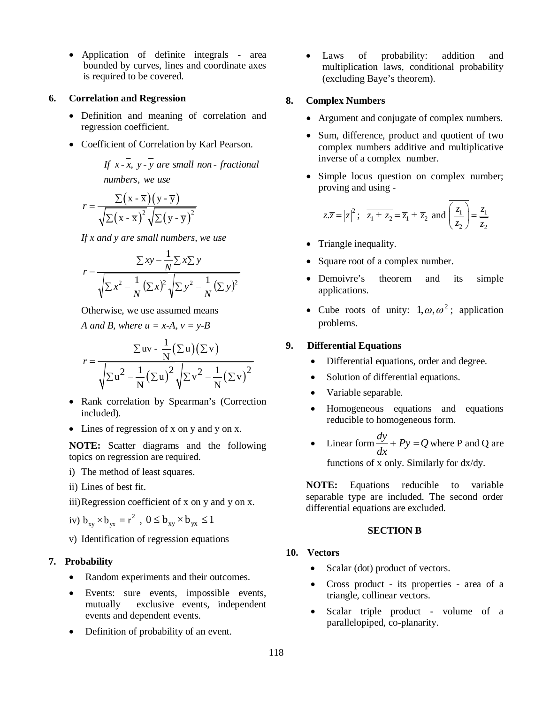Application of definite integrals - area bounded by curves, lines and coordinate axes is required to be covered.

### **6. Correlation and Regression**

- Definition and meaning of correlation and regression coefficient.
- Coefficient of Correlation by Karl Pearson.

If x - x, y - y are small non - fractional , *numbers we use*

$$
r = \frac{\sum (x - \overline{x})(y - \overline{y})}{\sqrt{\sum (x - \overline{x})^2} \sqrt{\sum (y - \overline{y})^2}}
$$

*If x and y are small numbers, we use*

$$
r = \frac{\sum xy - \frac{1}{N} \sum x \sum y}{\sqrt{\sum x^2 - \frac{1}{N} (\sum x)^2} \sqrt{\sum y^2 - \frac{1}{N} (\sum y)^2}}
$$

Otherwise, we use assumed means

*A* and *B*, where  $u = x-A$ ,  $v = y-B$ 

$$
r = \frac{\sum uv - \frac{1}{N} (\sum u)(\sum v)}{\sqrt{\sum u^2 - \frac{1}{N} (\sum u)^2} \sqrt{\sum v^2 - \frac{1}{N} (\sum v)^2}}
$$

- Rank correlation by Spearman's (Correction included).
- Lines of regression of x on y and y on x.

**NOTE:** Scatter diagrams and the following topics on regression are required.

i) The method of least squares.

ii) Lines of best fit.

iii)Regression coefficient of x on y and y on x.

iv)  $b_{xy} \times b_{yx} = r^2$ ,  $0 \le b_{xy} \times b_{yx} \le 1$ 

v) Identification of regression equations

## **7. Probability**

- Random experiments and their outcomes.
- Events: sure events, impossible events, mutually exclusive events, independent events and dependent events.
- Definition of probability of an event.

 Laws of probability: addition and multiplication laws, conditional probability (excluding Baye's theorem).

## **8. Complex Numbers**

- Argument and conjugate of complex numbers.
- Sum, difference, product and quotient of two complex numbers additive and multiplicative inverse of a complex number.
- Simple locus question on complex number; proving and using -

$$
z.\overline{z} = |z|^2
$$
;  $\overline{z_1 \pm z_2} = \overline{z_1} \pm \overline{z_2}$  and  $\overline{\left(\frac{z_1}{z_2}\right)} = \frac{\overline{z_1}}{\overline{z_2}}$ 

- Triangle inequality.
- Square root of a complex number.
- Demoivre's theorem and its simple applications.
- Cube roots of unity:  $1, \omega, \omega^2$ ; application problems.

## **9. Differential Equations**

- Differential equations, order and degree.
- Solution of differential equations.
- Variable separable.
- Homogeneous equations and equations reducible to homogeneous form.
- Linear form  $\frac{dy}{dx} + Py = Q$ *dx*  $\frac{dy}{dx}$  +  $Py = Q$  where P and Q are functions of x only. Similarly for dx/dy.

**NOTE:** Equations reducible to variable separable type are included. The second order differential equations are excluded.

## **SECTION B**

## **10. Vectors**

- Scalar (dot) product of vectors.
- Cross product its properties area of a triangle, collinear vectors.
- Scalar triple product volume of a parallelopiped, co-planarity.